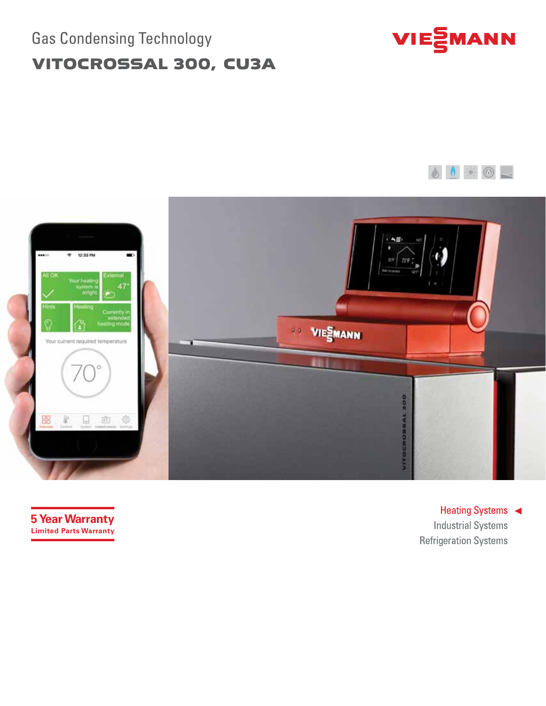# Gas Condensing Technology VITOCROSSAL 300, CU3A







**5 Year Warranty Limited Parts Warranty**

Heating Systems < **Industrial Systems Refrigeration Systems**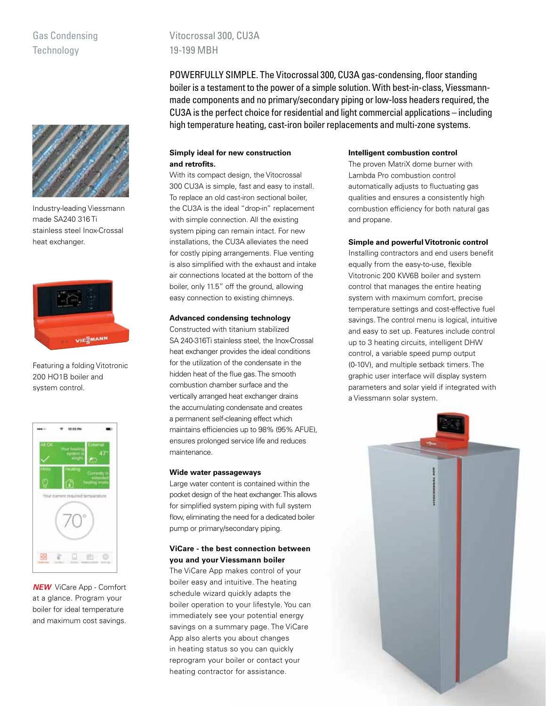## Gas Condensing **Technology**



Industry-leading Viessmann made SA240 316 Ti stainless steel Inox-Crossal heat exchanger.



Featuring a folding Vitotronic 200 HO1B boiler and system control.



*NEW* ViCare App - Comfort at a glance. Program your boiler for ideal temperature and maximum cost savings.

Vitocrossal 300, CU3A 19-199 MBH

POWERFULLY SIMPLE. The Vitocrossal 300, CU3A gas-condensing, floor standing boiler is a testament to the power of a simple solution. With best-in-class, Viessmannmade components and no primary/secondary piping or low-loss headers required, the CU3A is the perfect choice for residential and light commercial applications – including high temperature heating, cast-iron boiler replacements and multi-zone systems.

## **Simply ideal for new construction and retrofits.**

With its compact design, the Vitocrossal 300 CU3A is simple, fast and easy to install. To replace an old cast-iron sectional boiler, the CU3A is the ideal "drop-in" replacement with simple connection. All the existing system piping can remain intact. For new installations, the CU3A alleviates the need for costly piping arrangements. Flue venting is also simplified with the exhaust and intake air connections located at the bottom of the boiler, only 11.5" off the ground, allowing easy connection to existing chimneys.

## **Advanced condensing technology**

Constructed with titanium stabilized SA 240-316Ti stainless steel, the Inox-Crossal heat exchanger provides the ideal conditions for the utilization of the condensate in the hidden heat of the flue gas. The smooth combustion chamber surface and the vertically arranged heat exchanger drains the accumulating condensate and creates a permanent self-cleaning effect which maintains efficiencies up to 98% (95% AFUE), ensures prolonged service life and reduces maintenance.

#### **Wide water passageways**

Large water content is contained within the pocket design of the heat exchanger. This allows for simplified system piping with full system flow, eliminating the need for a dedicated boiler pump or primary/secondary piping.

## **ViCare - the best connection between you and your Viessmann boiler**

The ViCare App makes control of your boiler easy and intuitive. The heating schedule wizard quickly adapts the boiler operation to your lifestyle. You can immediately see your potential energy savings on a summary page. The ViCare App also alerts you about changes in heating status so you can quickly reprogram your boiler or contact your heating contractor for assistance.

## **Intelligent combustion control**

The proven MatriX dome burner with Lambda Pro combustion control automatically adjusts to fluctuating gas qualities and ensures a consistently high combustion efficiency for both natural gas and propane.

### **Simple and powerful Vitotronic control**

Installing contractors and end users benefit equally from the easy-to-use, flexible Vitotronic 200 KW6B boiler and system control that manages the entire heating system with maximum comfort, precise temperature settings and cost-effective fuel savings. The control menu is logical, intuitive and easy to set up. Features include control up to 3 heating circuits, intelligent DHW control, a variable speed pump output (0-10V), and multiple setback timers. The graphic user interface will display system parameters and solar yield if integrated with a Viessmann solar system.

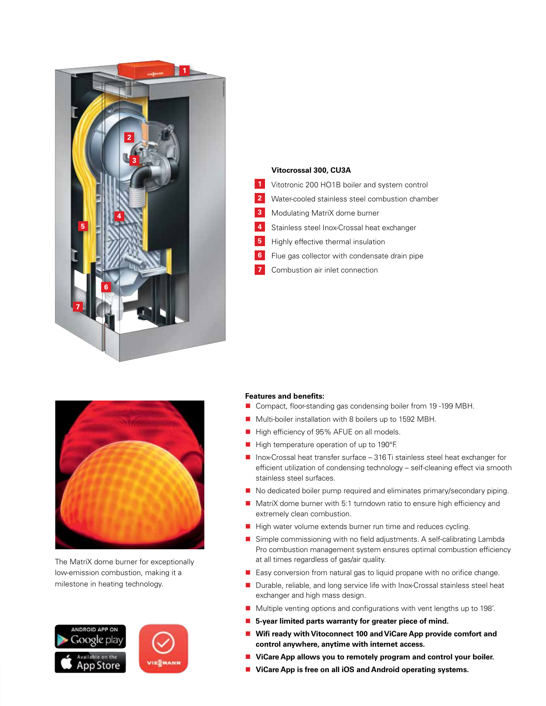

#### **Vitocrossal 300, CU3A**

- 1 Vitotronic 200 HO1B boiler and system control
- Water-cooled stainless steel combustion chamber **2**
- **3** Modulating MatriX dome burner
- Stainless steel Inox-Crossal heat exchanger **4**
- Highly effective thermal insulation **5**
- Flue gas collector with condensate drain pipe **6**
	- Combustion air inlet connection



The MatriX dome burner for exceptionally low-emission combustion, making it a milestone in heating technology.



#### **Features and benefits:**

**7**

- Compact, floor-standing gas condensing boiler from 19-199 MBH.
- Multi-boiler installation with 8 boilers up to 1592 MBH.
- High efficiency of 95% AFUE on all models.
- $\blacksquare$  High temperature operation of up to 190 $\degree$ F.
- $\blacksquare$  Inox-Crossal heat transfer surface 316 Ti stainless steel heat exchanger for efficient utilization of condensing technology – self-cleaning effect via smooth stainless steel surfaces.
- No dedicated boiler pump required and eliminates primary/secondary piping.
- MatriX dome burner with 5:1 turndown ratio to ensure high efficiency and extremely clean combustion.
- High water volume extends burner run time and reduces cycling.
- Simple commissioning with no field adjustments. A self-calibrating Lambda Pro combustion management system ensures optimal combustion efficiency at all times regardless of gas/air quality.
- Easy conversion from natural gas to liquid propane with no orifice change.
- Durable, reliable, and long service life with Inox-Crossal stainless steel heat exchanger and high mass design.
- Multiple venting options and configurations with vent lengths up to 198'.
- 5-year limited parts warranty for greater piece of mind.
- **Wifi ready with Vitoconnect 100 and ViCare App provide comfort and control anywhere, anytime with internet access.**
- **ViCare App allows you to remotely program and control your boiler.**
- ViCare App is free on all iOS and Android operating systems.